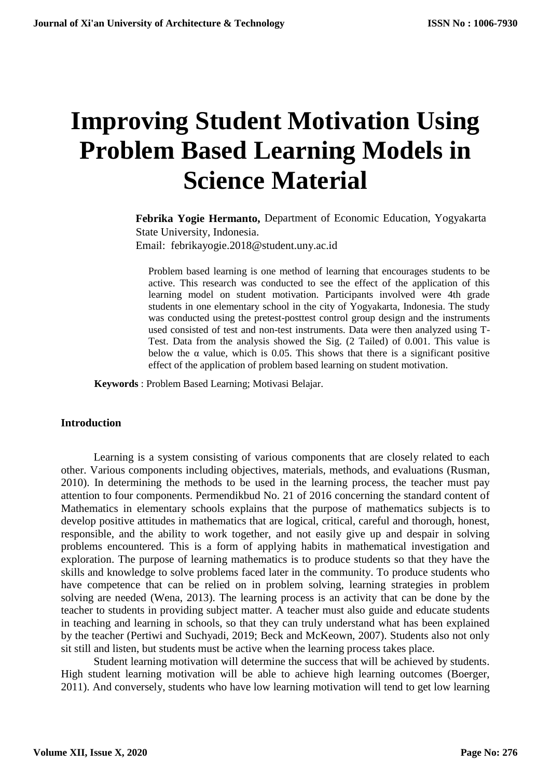# **Improving Student Motivation Using Problem Based Learning Models in Science Material**

**Febrika Yogie Hermanto,** Department of Economic Education, Yogyakarta State University, Indonesia. Email: febrikayogie.2018@student.uny.ac.id

Problem based learning is one method of learning that encourages students to be active. This research was conducted to see the effect of the application of this learning model on student motivation. Participants involved were 4th grade students in one elementary school in the city of Yogyakarta, Indonesia. The study was conducted using the pretest-posttest control group design and the instruments used consisted of test and non-test instruments. Data were then analyzed using T-Test. Data from the analysis showed the Sig. (2 Tailed) of 0.001. This value is below the  $\alpha$  value, which is 0.05. This shows that there is a significant positive effect of the application of problem based learning on student motivation.

**Keywords** : Problem Based Learning; Motivasi Belajar.

#### **Introduction**

Learning is a system consisting of various components that are closely related to each other. Various components including objectives, materials, methods, and evaluations (Rusman, 2010). In determining the methods to be used in the learning process, the teacher must pay attention to four components. Permendikbud No. 21 of 2016 concerning the standard content of Mathematics in elementary schools explains that the purpose of mathematics subjects is to develop positive attitudes in mathematics that are logical, critical, careful and thorough, honest, responsible, and the ability to work together, and not easily give up and despair in solving problems encountered. This is a form of applying habits in mathematical investigation and exploration. The purpose of learning mathematics is to produce students so that they have the skills and knowledge to solve problems faced later in the community. To produce students who have competence that can be relied on in problem solving, learning strategies in problem solving are needed (Wena, 2013). The learning process is an activity that can be done by the teacher to students in providing subject matter. A teacher must also guide and educate students in teaching and learning in schools, so that they can truly understand what has been explained by the teacher (Pertiwi and Suchyadi, 2019; Beck and McKeown, 2007). Students also not only sit still and listen, but students must be active when the learning process takes place.

Student learning motivation will determine the success that will be achieved by students. High student learning motivation will be able to achieve high learning outcomes (Boerger, 2011). And conversely, students who have low learning motivation will tend to get low learning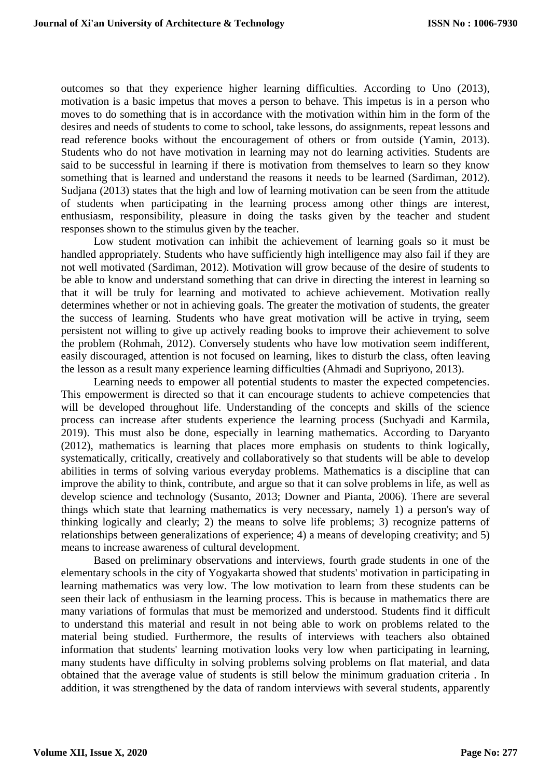outcomes so that they experience higher learning difficulties. According to Uno (2013), motivation is a basic impetus that moves a person to behave. This impetus is in a person who moves to do something that is in accordance with the motivation within him in the form of the desires and needs of students to come to school, take lessons, do assignments, repeat lessons and read reference books without the encouragement of others or from outside (Yamin, 2013). Students who do not have motivation in learning may not do learning activities. Students are said to be successful in learning if there is motivation from themselves to learn so they know something that is learned and understand the reasons it needs to be learned (Sardiman, 2012). Sudjana (2013) states that the high and low of learning motivation can be seen from the attitude of students when participating in the learning process among other things are interest, enthusiasm, responsibility, pleasure in doing the tasks given by the teacher and student responses shown to the stimulus given by the teacher.

Low student motivation can inhibit the achievement of learning goals so it must be handled appropriately. Students who have sufficiently high intelligence may also fail if they are not well motivated (Sardiman, 2012). Motivation will grow because of the desire of students to be able to know and understand something that can drive in directing the interest in learning so that it will be truly for learning and motivated to achieve achievement. Motivation really determines whether or not in achieving goals. The greater the motivation of students, the greater the success of learning. Students who have great motivation will be active in trying, seem persistent not willing to give up actively reading books to improve their achievement to solve the problem (Rohmah, 2012). Conversely students who have low motivation seem indifferent, easily discouraged, attention is not focused on learning, likes to disturb the class, often leaving the lesson as a result many experience learning difficulties (Ahmadi and Supriyono, 2013).

Learning needs to empower all potential students to master the expected competencies. This empowerment is directed so that it can encourage students to achieve competencies that will be developed throughout life. Understanding of the concepts and skills of the science process can increase after students experience the learning process (Suchyadi and Karmila, 2019). This must also be done, especially in learning mathematics. According to Daryanto (2012), mathematics is learning that places more emphasis on students to think logically, systematically, critically, creatively and collaboratively so that students will be able to develop abilities in terms of solving various everyday problems. Mathematics is a discipline that can improve the ability to think, contribute, and argue so that it can solve problems in life, as well as develop science and technology (Susanto, 2013; Downer and Pianta, 2006). There are several things which state that learning mathematics is very necessary, namely 1) a person's way of thinking logically and clearly; 2) the means to solve life problems; 3) recognize patterns of relationships between generalizations of experience; 4) a means of developing creativity; and 5) means to increase awareness of cultural development.

Based on preliminary observations and interviews, fourth grade students in one of the elementary schools in the city of Yogyakarta showed that students' motivation in participating in learning mathematics was very low. The low motivation to learn from these students can be seen their lack of enthusiasm in the learning process. This is because in mathematics there are many variations of formulas that must be memorized and understood. Students find it difficult to understand this material and result in not being able to work on problems related to the material being studied. Furthermore, the results of interviews with teachers also obtained information that students' learning motivation looks very low when participating in learning, many students have difficulty in solving problems solving problems on flat material, and data obtained that the average value of students is still below the minimum graduation criteria . In addition, it was strengthened by the data of random interviews with several students, apparently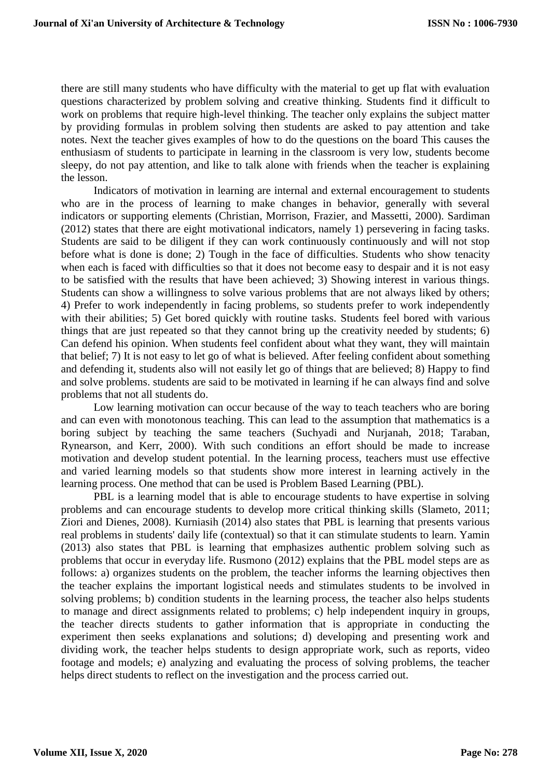there are still many students who have difficulty with the material to get up flat with evaluation questions characterized by problem solving and creative thinking. Students find it difficult to work on problems that require high-level thinking. The teacher only explains the subject matter by providing formulas in problem solving then students are asked to pay attention and take notes. Next the teacher gives examples of how to do the questions on the board This causes the enthusiasm of students to participate in learning in the classroom is very low, students become sleepy, do not pay attention, and like to talk alone with friends when the teacher is explaining the lesson.

Indicators of motivation in learning are internal and external encouragement to students who are in the process of learning to make changes in behavior, generally with several indicators or supporting elements (Christian, Morrison, Frazier, and Massetti, 2000). Sardiman (2012) states that there are eight motivational indicators, namely 1) persevering in facing tasks. Students are said to be diligent if they can work continuously continuously and will not stop before what is done is done; 2) Tough in the face of difficulties. Students who show tenacity when each is faced with difficulties so that it does not become easy to despair and it is not easy to be satisfied with the results that have been achieved; 3) Showing interest in various things. Students can show a willingness to solve various problems that are not always liked by others; 4) Prefer to work independently in facing problems, so students prefer to work independently with their abilities; 5) Get bored quickly with routine tasks. Students feel bored with various things that are just repeated so that they cannot bring up the creativity needed by students; 6) Can defend his opinion. When students feel confident about what they want, they will maintain that belief; 7) It is not easy to let go of what is believed. After feeling confident about something and defending it, students also will not easily let go of things that are believed; 8) Happy to find and solve problems. students are said to be motivated in learning if he can always find and solve problems that not all students do.

Low learning motivation can occur because of the way to teach teachers who are boring and can even with monotonous teaching. This can lead to the assumption that mathematics is a boring subject by teaching the same teachers (Suchyadi and Nurjanah, 2018; Taraban, Rynearson, and Kerr, 2000). With such conditions an effort should be made to increase motivation and develop student potential. In the learning process, teachers must use effective and varied learning models so that students show more interest in learning actively in the learning process. One method that can be used is Problem Based Learning (PBL).

PBL is a learning model that is able to encourage students to have expertise in solving problems and can encourage students to develop more critical thinking skills (Slameto, 2011; Ziori and Dienes, 2008). Kurniasih (2014) also states that PBL is learning that presents various real problems in students' daily life (contextual) so that it can stimulate students to learn. Yamin (2013) also states that PBL is learning that emphasizes authentic problem solving such as problems that occur in everyday life. Rusmono (2012) explains that the PBL model steps are as follows: a) organizes students on the problem, the teacher informs the learning objectives then the teacher explains the important logistical needs and stimulates students to be involved in solving problems; b) condition students in the learning process, the teacher also helps students to manage and direct assignments related to problems; c) help independent inquiry in groups, the teacher directs students to gather information that is appropriate in conducting the experiment then seeks explanations and solutions; d) developing and presenting work and dividing work, the teacher helps students to design appropriate work, such as reports, video footage and models; e) analyzing and evaluating the process of solving problems, the teacher helps direct students to reflect on the investigation and the process carried out.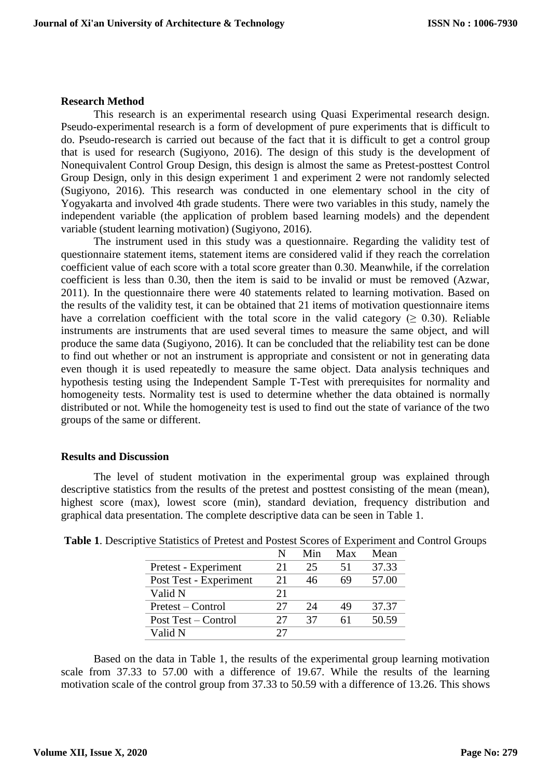#### **Research Method**

This research is an experimental research using Quasi Experimental research design. Pseudo-experimental research is a form of development of pure experiments that is difficult to do. Pseudo-research is carried out because of the fact that it is difficult to get a control group that is used for research (Sugiyono, 2016). The design of this study is the development of Nonequivalent Control Group Design, this design is almost the same as Pretest-posttest Control Group Design, only in this design experiment 1 and experiment 2 were not randomly selected (Sugiyono, 2016). This research was conducted in one elementary school in the city of Yogyakarta and involved 4th grade students. There were two variables in this study, namely the independent variable (the application of problem based learning models) and the dependent variable (student learning motivation) (Sugiyono, 2016).

The instrument used in this study was a questionnaire. Regarding the validity test of questionnaire statement items, statement items are considered valid if they reach the correlation coefficient value of each score with a total score greater than 0.30. Meanwhile, if the correlation coefficient is less than 0.30, then the item is said to be invalid or must be removed (Azwar, 2011). In the questionnaire there were 40 statements related to learning motivation. Based on the results of the validity test, it can be obtained that 21 items of motivation questionnaire items have a correlation coefficient with the total score in the valid category ( $\geq 0.30$ ). Reliable instruments are instruments that are used several times to measure the same object, and will produce the same data (Sugiyono, 2016). It can be concluded that the reliability test can be done to find out whether or not an instrument is appropriate and consistent or not in generating data even though it is used repeatedly to measure the same object. Data analysis techniques and hypothesis testing using the Independent Sample T-Test with prerequisites for normality and homogeneity tests. Normality test is used to determine whether the data obtained is normally distributed or not. While the homogeneity test is used to find out the state of variance of the two groups of the same or different.

#### **Results and Discussion**

The level of student motivation in the experimental group was explained through descriptive statistics from the results of the pretest and posttest consisting of the mean (mean), highest score (max), lowest score (min), standard deviation, frequency distribution and graphical data presentation. The complete descriptive data can be seen in Table 1.

|                        | N  | Min | Max | Mean  |
|------------------------|----|-----|-----|-------|
| Pretest - Experiment   | 21 | 25  | 51  | 37.33 |
| Post Test - Experiment | 21 | 46  | 69  | 57.00 |
| Valid N                | 21 |     |     |       |
| Pretest – Control      | 27 | 24  | 49  | 37.37 |
| Post Test – Control    | 77 | 37  |     | 50.59 |
| Valid N                | 27 |     |     |       |

**Table 1**. Descriptive Statistics of Pretest and Postest Scores of Experiment and Control Groups

Based on the data in Table 1, the results of the experimental group learning motivation scale from 37.33 to 57.00 with a difference of 19.67. While the results of the learning motivation scale of the control group from 37.33 to 50.59 with a difference of 13.26. This shows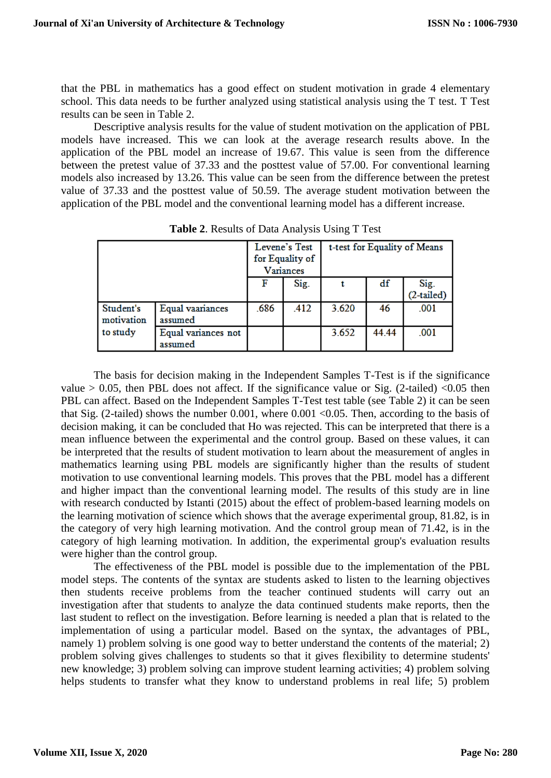that the PBL in mathematics has a good effect on student motivation in grade 4 elementary school. This data needs to be further analyzed using statistical analysis using the T test. T Test results can be seen in Table 2.

Descriptive analysis results for the value of student motivation on the application of PBL models have increased. This we can look at the average research results above. In the application of the PBL model an increase of 19.67. This value is seen from the difference between the pretest value of 37.33 and the posttest value of 57.00. For conventional learning models also increased by 13.26. This value can be seen from the difference between the pretest value of 37.33 and the posttest value of 50.59. The average student motivation between the application of the PBL model and the conventional learning model has a different increase.

|                         |                                | Levene's Test<br>for Equality of<br>Variances |      | t-test for Equality of Means |       |                      |
|-------------------------|--------------------------------|-----------------------------------------------|------|------------------------------|-------|----------------------|
|                         |                                |                                               | Sig. |                              | df    | Sig.<br>$(2-tailed)$ |
| Student's<br>motivation | Equal vaariances<br>assumed    | .686                                          | .412 | 3.620                        | 46    | .001                 |
| to study                | Equal variances not<br>assumed |                                               |      | 3.652                        | 44.44 | .001                 |

**Table 2**. Results of Data Analysis Using T Test

The basis for decision making in the Independent Samples T-Test is if the significance value  $> 0.05$ , then PBL does not affect. If the significance value or Sig. (2-tailed) <0.05 then PBL can affect. Based on the Independent Samples T-Test test table (see Table 2) it can be seen that Sig. (2-tailed) shows the number 0.001, where 0.001 <0.05. Then, according to the basis of decision making, it can be concluded that Ho was rejected. This can be interpreted that there is a mean influence between the experimental and the control group. Based on these values, it can be interpreted that the results of student motivation to learn about the measurement of angles in mathematics learning using PBL models are significantly higher than the results of student motivation to use conventional learning models. This proves that the PBL model has a different and higher impact than the conventional learning model. The results of this study are in line with research conducted by Istanti (2015) about the effect of problem-based learning models on the learning motivation of science which shows that the average experimental group, 81.82, is in the category of very high learning motivation. And the control group mean of 71.42, is in the category of high learning motivation. In addition, the experimental group's evaluation results were higher than the control group.

The effectiveness of the PBL model is possible due to the implementation of the PBL model steps. The contents of the syntax are students asked to listen to the learning objectives then students receive problems from the teacher continued students will carry out an investigation after that students to analyze the data continued students make reports, then the last student to reflect on the investigation. Before learning is needed a plan that is related to the implementation of using a particular model. Based on the syntax, the advantages of PBL, namely 1) problem solving is one good way to better understand the contents of the material; 2) problem solving gives challenges to students so that it gives flexibility to determine students' new knowledge; 3) problem solving can improve student learning activities; 4) problem solving helps students to transfer what they know to understand problems in real life; 5) problem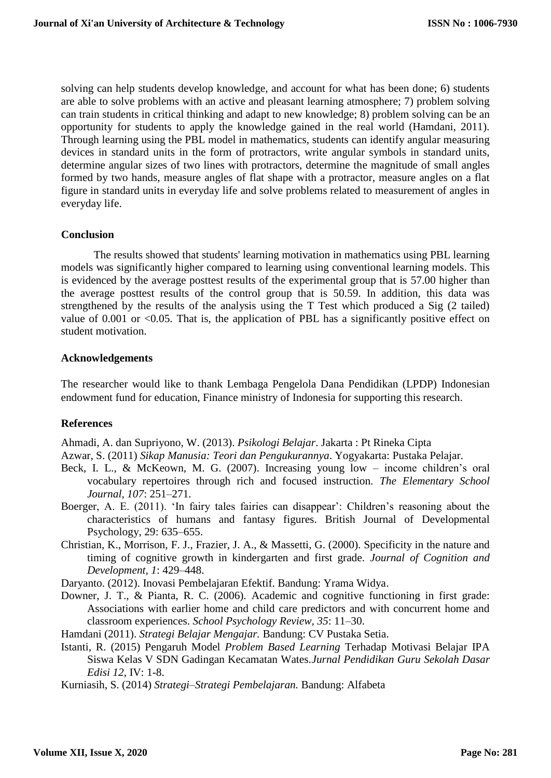solving can help students develop knowledge, and account for what has been done; 6) students are able to solve problems with an active and pleasant learning atmosphere; 7) problem solving can train students in critical thinking and adapt to new knowledge; 8) problem solving can be an opportunity for students to apply the knowledge gained in the real world (Hamdani, 2011). Through learning using the PBL model in mathematics, students can identify angular measuring devices in standard units in the form of protractors, write angular symbols in standard units, determine angular sizes of two lines with protractors, determine the magnitude of small angles formed by two hands, measure angles of flat shape with a protractor, measure angles on a flat figure in standard units in everyday life and solve problems related to measurement of angles in everyday life.

### **Conclusion**

The results showed that students' learning motivation in mathematics using PBL learning models was significantly higher compared to learning using conventional learning models. This is evidenced by the average posttest results of the experimental group that is 57.00 higher than the average posttest results of the control group that is 50.59. In addition, this data was strengthened by the results of the analysis using the T Test which produced a Sig (2 tailed) value of  $0.001$  or  $\leq 0.05$ . That is, the application of PBL has a significantly positive effect on student motivation.

## **Acknowledgements**

The researcher would like to thank Lembaga Pengelola Dana Pendidikan (LPDP) Indonesian endowment fund for education, Finance ministry of Indonesia for supporting this research.

## **References**

Ahmadi, A. dan Supriyono, W. (2013). *Psikologi Belajar*. Jakarta : Pt Rineka Cipta

Azwar, S. (2011) *Sikap Manusia: Teori dan Pengukurannya*. Yogyakarta: Pustaka Pelajar.

- Beck, I. L., & McKeown, M. G. (2007). Increasing young low income children's oral vocabulary repertoires through rich and focused instruction. *The Elementary School Journal, 107*: 251–271.
- Boerger, A. E. (2011). 'In fairy tales fairies can disappear': Children's reasoning about the characteristics of humans and fantasy figures. British Journal of Developmental Psychology, 29: 635–655.
- Christian, K., Morrison, F. J., Frazier, J. A., & Massetti, G. (2000). Specificity in the nature and timing of cognitive growth in kindergarten and first grade. *Journal of Cognition and Development, 1*: 429–448.

Daryanto. (2012). Inovasi Pembelajaran Efektif. Bandung: Yrama Widya.

Downer, J. T., & Pianta, R. C. (2006). Academic and cognitive functioning in first grade: Associations with earlier home and child care predictors and with concurrent home and classroom experiences. *School Psychology Review, 35*: 11–30.

Hamdani (2011). *Strategi Belajar Mengajar.* Bandung: CV Pustaka Setia.

Istanti, R. (2015) Pengaruh Model *Problem Based Learning* Terhadap Motivasi Belajar IPA Siswa Kelas V SDN Gadingan Kecamatan Wates.*Jurnal Pendidikan Guru Sekolah Dasar Edisi 12*, IV: 1-8.

Kurniasih, S. (2014) *Strategi–Strategi Pembelajaran.* Bandung: Alfabeta